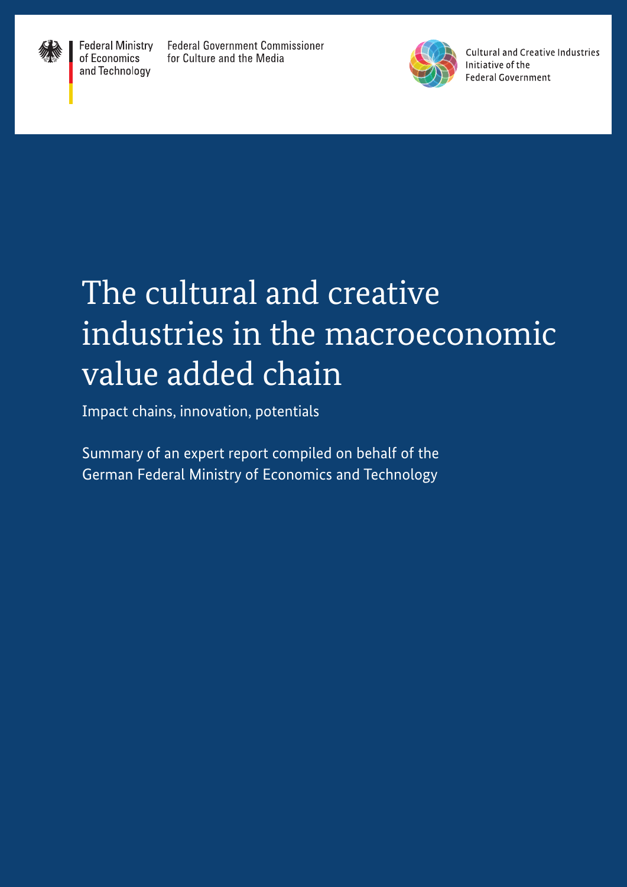

**Federal Ministry** of Economics and Technology

**Federal Government Commissioner** for Culture and the Media



**Cultural and Creative Industries** Initiative of the **Federal Government** 

# The cultural and creative industries in the macroeconomic value added chain

Impact chains, innovation, potentials

Summary of an expert report compiled on behalf of the German Federal Ministry of Economics and Technology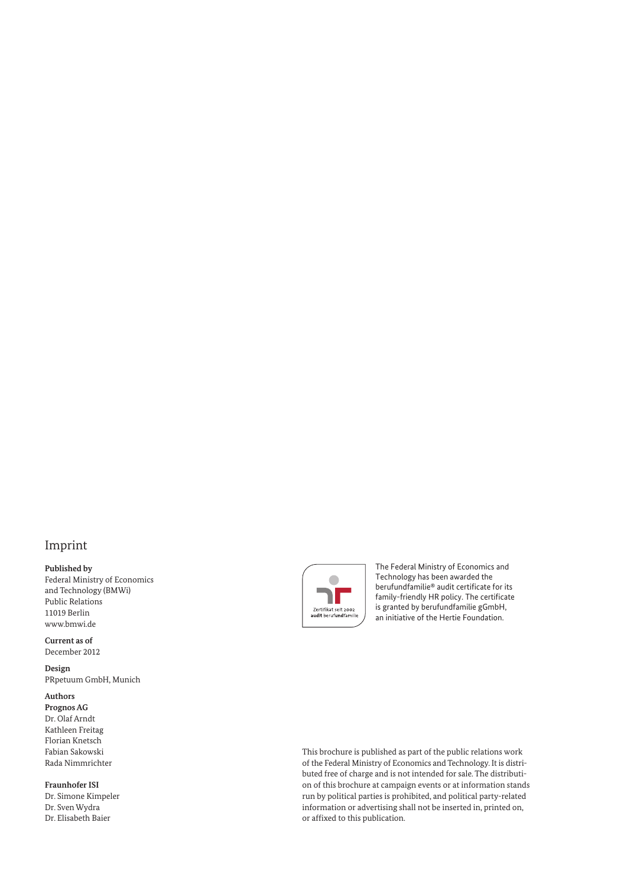#### Imprint

#### **Published by**

Federal Ministry of Economics and Technology (BMWi) Public Relations 11019 Berlin [www.bmwi.de](http://www.bmwi.de)

**Current as of** December 2012

**Design** PRpetuum GmbH, Munich

#### **Authors**

**Prognos AG** Dr. Olaf Arndt Kathleen Freitag Florian Knetsch Fabian Sakowski Rada Nimmrichter

#### **Fraunhofer ISI**

Dr. Simone Kimpeler Dr. Sven Wydra Dr. Elisabeth Baier



The Federal Ministry of Economics and Technology has been awarded the berufundfamilie® audit certificate for its family-friendly HR policy. The certificate is granted by berufundfamilie gGmbH, an initiative of the Hertie Foundation.

This brochure is published as part of the public relations work of the Federal Ministry of Economics and Technology. It is distributed free of charge and is not intended for sale. The distribution of this brochure at campaign events or at information stands run by political parties is prohibited, and political party-related information or advertising shall not be inserted in, printed on, or affixed to this publication.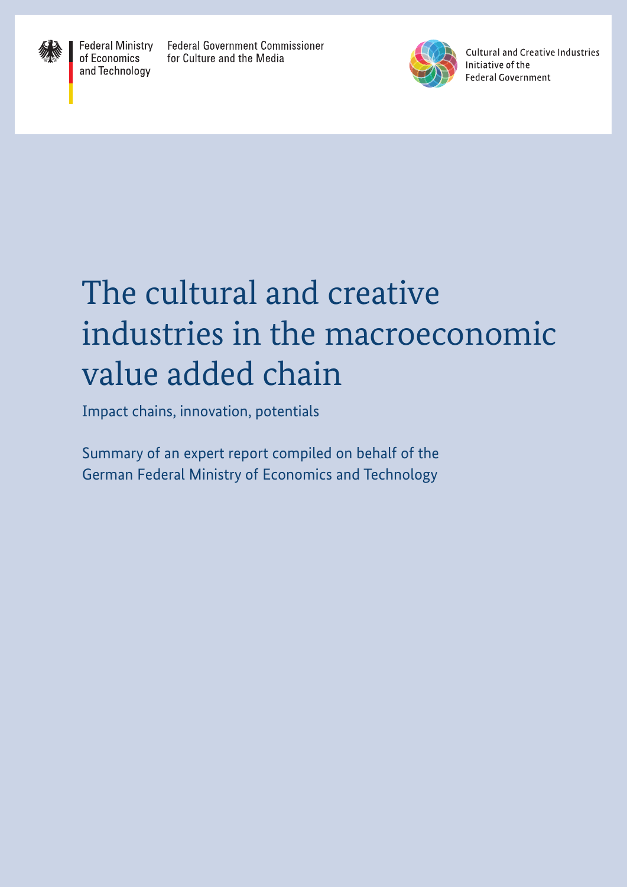

**Federal Ministry** of Economics and Technology

**Federal Government Commissioner** for Culture and the Media



**Cultural and Creative Industries** Initiative of the **Federal Government** 

# The cultural and creative industries in the macroeconomic value added chain

Impact chains, innovation, potentials

Summary of an expert report compiled on behalf of the German Federal Ministry of Economics and Technology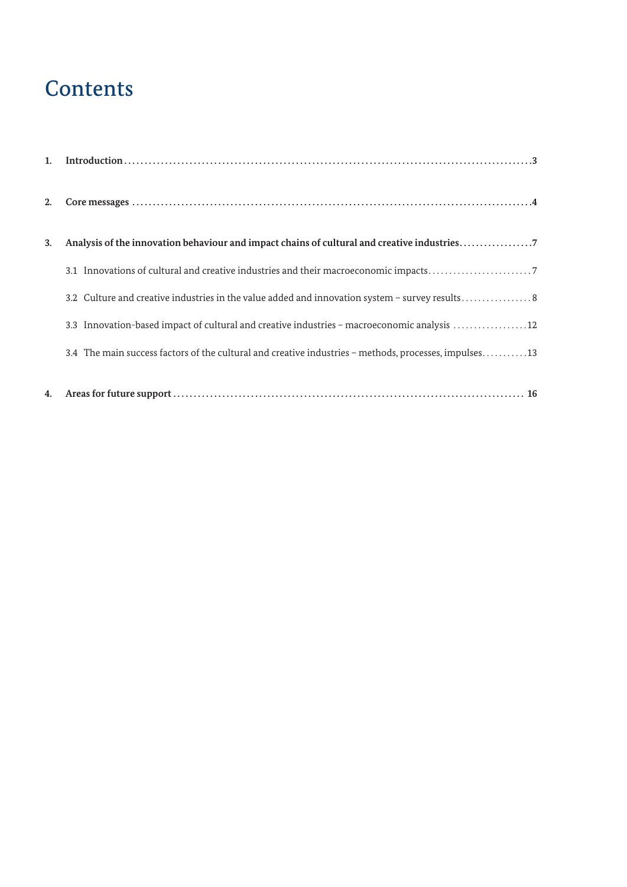### **Contents**

| 1. |                                                                                                       |
|----|-------------------------------------------------------------------------------------------------------|
| 2. |                                                                                                       |
| 3. | Analysis of the innovation behaviour and impact chains of cultural and creative industries7           |
|    |                                                                                                       |
|    | 3.2 Culture and creative industries in the value added and innovation system - survey results8        |
|    | 3.3 Innovation-based impact of cultural and creative industries - macroeconomic analysis 12           |
|    | 3.4 The main success factors of the cultural and creative industries - methods, processes, impulses13 |
| 4. |                                                                                                       |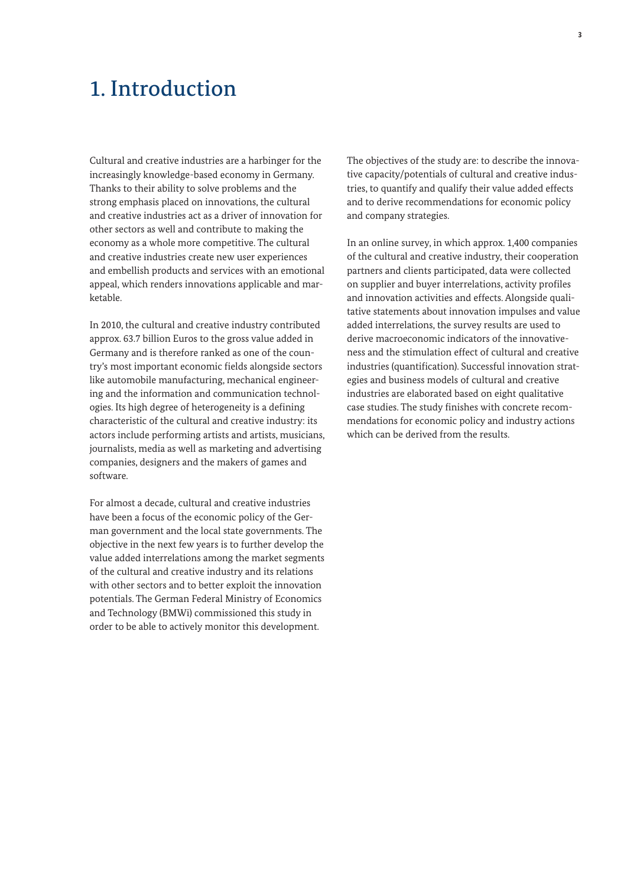### 1. Introduction

Cultural and creative industries are a harbinger for the increasingly knowledge-based economy in Germany. Thanks to their ability to solve problems and the strong emphasis placed on innovations, the cultural and creative industries act as a driver of innovation for other sectors as well and contribute to making the economy as a whole more competitive. The cultural and creative industries create new user experiences and embellish products and services with an emotional appeal, which renders innovations applicable and marketable.

In 2010, the cultural and creative industry contributed approx. 63.7 billion Euros to the gross value added in Germany and is therefore ranked as one of the country's most important economic fields alongside sectors like automobile manufacturing, mechanical engineering and the information and communication technologies. Its high degree of heterogeneity is a defining characteristic of the cultural and creative industry: its actors include performing artists and artists, musicians, journalists, media as well as marketing and advertising companies, designers and the makers of games and software.

For almost a decade, cultural and creative industries have been a focus of the economic policy of the German government and the local state governments. The objective in the next few years is to further develop the value added interrelations among the market segments of the cultural and creative industry and its relations with other sectors and to better exploit the innovation potentials. The German Federal Ministry of Economics and Technology (BMWi) commissioned this study in order to be able to actively monitor this development.

The objectives of the study are: to describe the innovative capacity/potentials of cultural and creative industries, to quantify and qualify their value added effects and to derive recommendations for economic policy and company strategies.

In an online survey, in which approx. 1,400 companies of the cultural and creative industry, their cooperation partners and clients participated, data were collected on supplier and buyer interrelations, activity profiles and innovation activities and effects. Alongside qualitative statements about innovation impulses and value added interrelations, the survey results are used to derive macroeconomic indicators of the innovativeness and the stimulation effect of cultural and creative industries (quantification). Successful innovation strategies and business models of cultural and creative industries are elaborated based on eight qualitative case studies. The study finishes with concrete recommendations for economic policy and industry actions which can be derived from the results.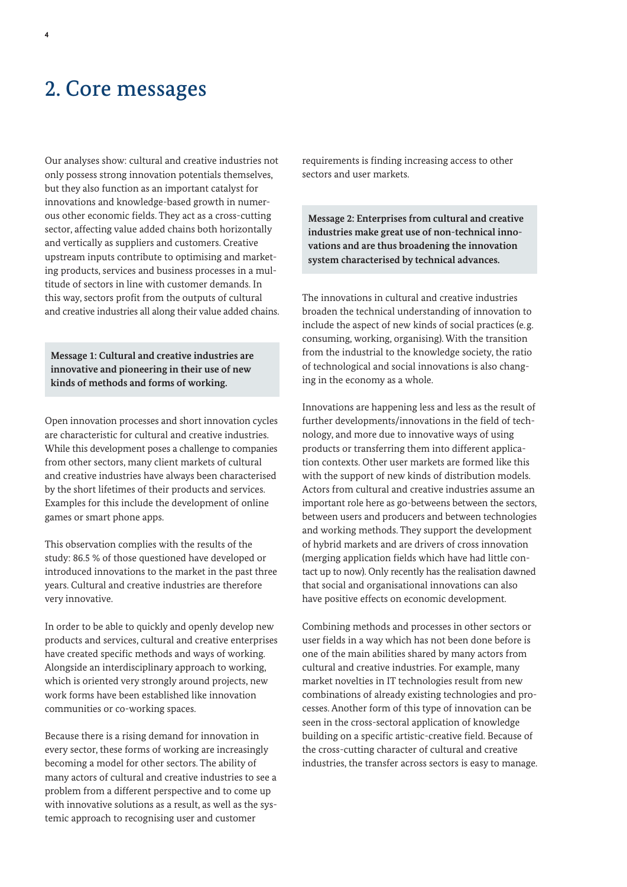### 2. Core messages

Our analyses show: cultural and creative industries not only possess strong innovation potentials themselves, but they also function as an important catalyst for innovations and knowledge-based growth in numerous other economic fields. They act as a cross-cutting sector, affecting value added chains both horizontally and vertically as suppliers and customers. Creative upstream inputs contribute to optimising and marketing products, services and business processes in a multitude of sectors in line with customer demands. In this way, sectors profit from the outputs of cultural and creative industries all along their value added chains.

**Message 1: Cultural and creative industries are innovative and pioneering in their use of new kinds of methods and forms of working.** 

Open innovation processes and short innovation cycles are characteristic for cultural and creative industries. While this development poses a challenge to companies from other sectors, many client markets of cultural and creative industries have always been characterised by the short lifetimes of their products and services. Examples for this include the development of online games or smart phone apps.

This observation complies with the results of the study: 86.5 % of those questioned have developed or introduced innovations to the market in the past three years. Cultural and creative industries are therefore very innovative.

In order to be able to quickly and openly develop new products and services, cultural and creative enterprises have created specific methods and ways of working. Alongside an interdisciplinary approach to working, which is oriented very strongly around projects, new work forms have been established like innovation communities or co-working spaces.

Because there is a rising demand for innovation in every sector, these forms of working are increasingly becoming a model for other sectors. The ability of many actors of cultural and creative industries to see a problem from a different perspective and to come up with innovative solutions as a result, as well as the systemic approach to recognising user and customer

requirements is finding increasing access to other sectors and user markets.

**Message 2: Enterprises from cultural and creative industries make great use of non-technical innovations and are thus broadening the innovation system characterised by technical advances.**

The innovations in cultural and creative industries broaden the technical understanding of innovation to include the aspect of new kinds of social practices (e.g. consuming, working, organising). With the transition from the industrial to the knowledge society, the ratio of technological and social innovations is also changing in the economy as a whole.

Innovations are happening less and less as the result of further developments/innovations in the field of technology, and more due to innovative ways of using products or transferring them into different application contexts. Other user markets are formed like this with the support of new kinds of distribution models. Actors from cultural and creative industries assume an important role here as go-betweens between the sectors, between users and producers and between technologies and working methods. They support the development of hybrid markets and are drivers of cross innovation (merging application fields which have had little contact up to now). Only recently has the realisation dawned that social and organisational innovations can also have positive effects on economic development.

Combining methods and processes in other sectors or user fields in a way which has not been done before is one of the main abilities shared by many actors from cultural and creative industries. For example, many market novelties in IT technologies result from new combinations of already existing technologies and processes. Another form of this type of innovation can be seen in the cross-sectoral application of knowledge building on a specific artistic-creative field. Because of the cross-cutting character of cultural and creative industries, the transfer across sectors is easy to manage.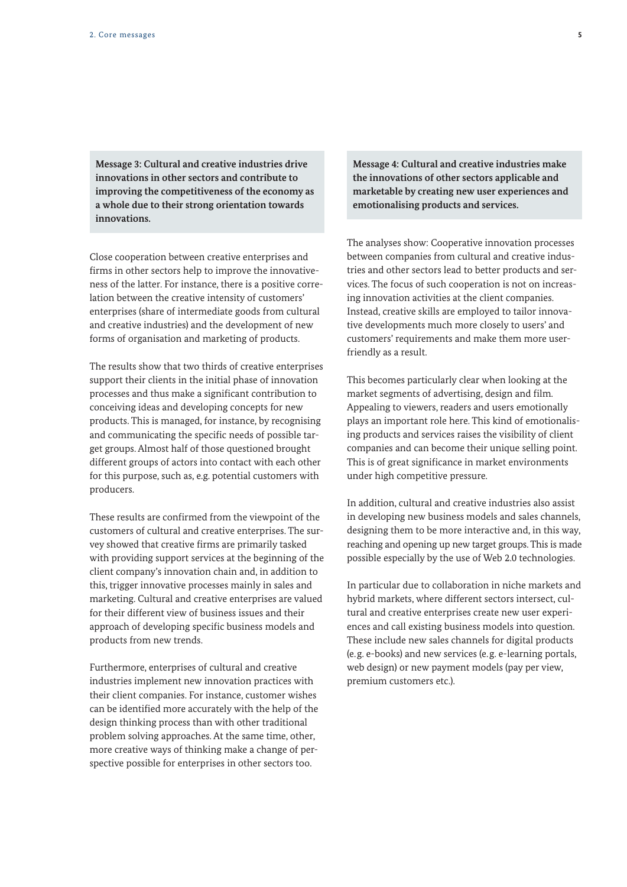**Message 3: Cultural and creative industries drive innovations in other sectors and contribute to improving the competitiveness of the economy as a whole due to their strong orientation towards innovations.** 

Close cooperation between creative enterprises and firms in other sectors help to improve the innovativeness of the latter. For instance, there is a positive correlation between the creative intensity of customers' enterprises (share of intermediate goods from cultural and creative industries) and the development of new forms of organisation and marketing of products.

The results show that two thirds of creative enterprises support their clients in the initial phase of innovation processes and thus make a significant contribution to conceiving ideas and developing concepts for new products. This is managed, for instance, by recognising and communicating the specific needs of possible target groups. Almost half of those questioned brought different groups of actors into contact with each other for this purpose, such as, e.g. potential customers with producers.

These results are confirmed from the viewpoint of the customers of cultural and creative enterprises. The survey showed that creative firms are primarily tasked with providing support services at the beginning of the client company's innovation chain and, in addition to this, trigger innovative processes mainly in sales and marketing. Cultural and creative enterprises are valued for their different view of business issues and their approach of developing specific business models and products from new trends.

Furthermore, enterprises of cultural and creative industries implement new innovation practices with their client companies. For instance, customer wishes can be identified more accurately with the help of the design thinking process than with other traditional problem solving approaches. At the same time, other, more creative ways of thinking make a change of perspective possible for enterprises in other sectors too.

**Message 4: Cultural and creative industries make the innovations of other sectors applicable and marketable by creating new user experiences and emotionalising products and services.**

The analyses show: Cooperative innovation processes between companies from cultural and creative industries and other sectors lead to better products and services. The focus of such cooperation is not on increasing innovation activities at the client companies. Instead, creative skills are employed to tailor innovative developments much more closely to users' and customers' requirements and make them more userfriendly as a result.

This becomes particularly clear when looking at the market segments of advertising, design and film. Appealing to viewers, readers and users emotionally plays an important role here. This kind of emotionalising products and services raises the visibility of client companies and can become their unique selling point. This is of great significance in market environments under high competitive pressure.

In addition, cultural and creative industries also assist in developing new business models and sales channels, designing them to be more interactive and, in this way, reaching and opening up new target groups. This is made possible especially by the use of Web 2.0 technologies.

In particular due to collaboration in niche markets and hybrid markets, where different sectors intersect, cultural and creative enterprises create new user experiences and call existing business models into question. These include new sales channels for digital products (e.g. e-books) and new services (e.g. e-learning portals, web design) or new payment models (pay per view, premium customers etc.).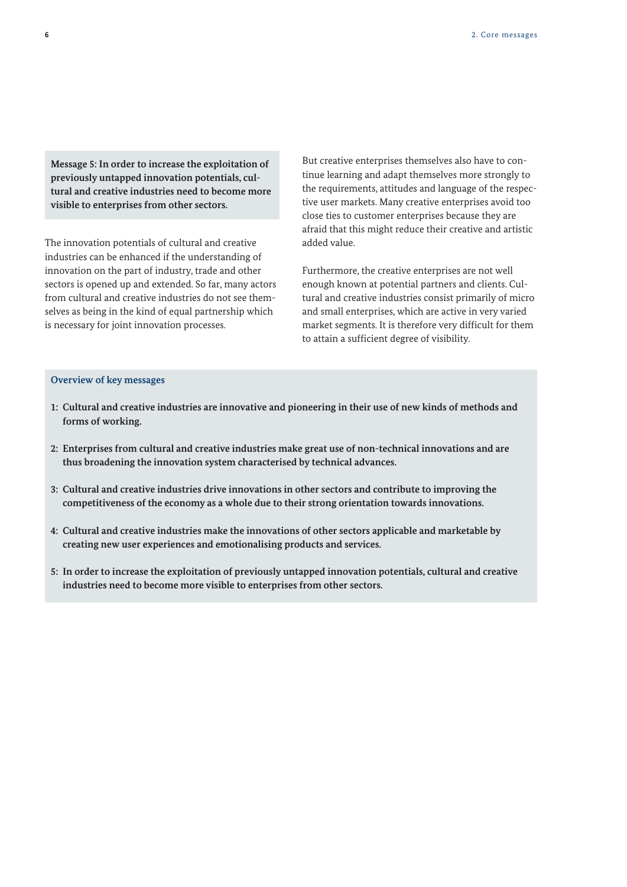**Message 5: In order to increase the exploitation of previously untapped innovation potentials, cultural and creative industries need to become more visible to enterprises from other sectors.** 

The innovation potentials of cultural and creative industries can be enhanced if the understanding of innovation on the part of industry, trade and other sectors is opened up and extended. So far, many actors from cultural and creative industries do not see themselves as being in the kind of equal partnership which is necessary for joint innovation processes.

But creative enterprises themselves also have to continue learning and adapt themselves more strongly to the requirements, attitudes and language of the respective user markets. Many creative enterprises avoid too close ties to customer enterprises because they are afraid that this might reduce their creative and artistic added value.

Furthermore, the creative enterprises are not well enough known at potential partners and clients. Cultural and creative industries consist primarily of micro and small enterprises, which are active in very varied market segments. It is therefore very difficult for them to attain a sufficient degree of visibility.

#### **Overview of key messages**

- **1: Cultural and creative industries are innovative and pioneering in their use of new kinds of methods and forms of working.**
- **2: Enterprises from cultural and creative industries make great use of non-technical innovations and are thus broadening the innovation system characterised by technical advances.**
- **3: Cultural and creative industries drive innovations in other sectors and contribute to improving the competitiveness of the economy as a whole due to their strong orientation towards innovations.**
- **4: Cultural and creative industries make the innovations of other sectors applicable and marketable by creating new user experiences and emotionalising products and services.**
- **5: In order to increase the exploitation of previously untapped innovation potentials, cultural and creative industries need to become more visible to enterprises from other sectors.**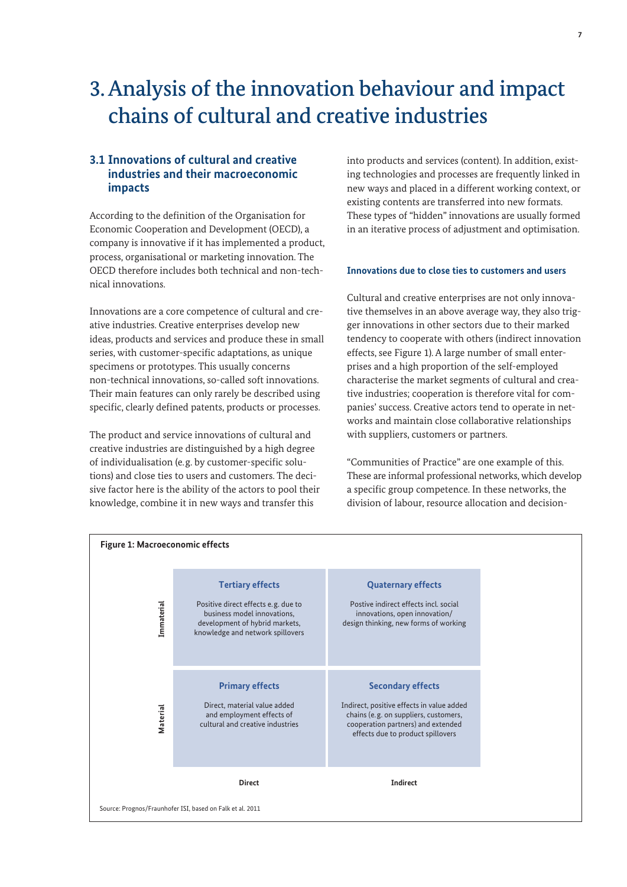### 3. Analysis of the innovation behaviour and impact chains of cultural and creative industries

#### **3.1 Innovations of cultural and creative industries and their macroeconomic impacts**

According to the definition of the Organisation for Economic Cooperation and Development (OECD), a company is innovative if it has implemented a product, process, organisational or marketing innovation. The OECD therefore includes both technical and non-technical innovations.

Innovations are a core competence of cultural and creative industries. Creative enterprises develop new ideas, products and services and produce these in small series, with customer-specific adaptations, as unique specimens or prototypes. This usually concerns non-technical innovations, so-called soft innovations. Their main features can only rarely be described using specific, clearly defined patents, products or processes.

The product and service innovations of cultural and creative industries are distinguished by a high degree of individualisation (e.g. by customer-specific solutions) and close ties to users and customers. The decisive factor here is the ability of the actors to pool their knowledge, combine it in new ways and transfer this

into products and services (content). In addition, existing technologies and processes are frequently linked in new ways and placed in a different working context, or existing contents are transferred into new formats. These types of "hidden" innovations are usually formed in an iterative process of adjustment and optimisation.

#### **Innovations due to close ties to customers and users**

Cultural and creative enterprises are not only innovative themselves in an above average way, they also trigger innovations in other sectors due to their marked tendency to cooperate with others (indirect innovation effects, see Figure 1). A large number of small enterprises and a high proportion of the self-employed characterise the market segments of cultural and creative industries; cooperation is therefore vital for companies' success. Creative actors tend to operate in networks and maintain close collaborative relationships with suppliers, customers or partners.

"Communities of Practice" are one example of this. These are informal professional networks, which develop a specific group competence. In these networks, the division of labour, resource allocation and decision-

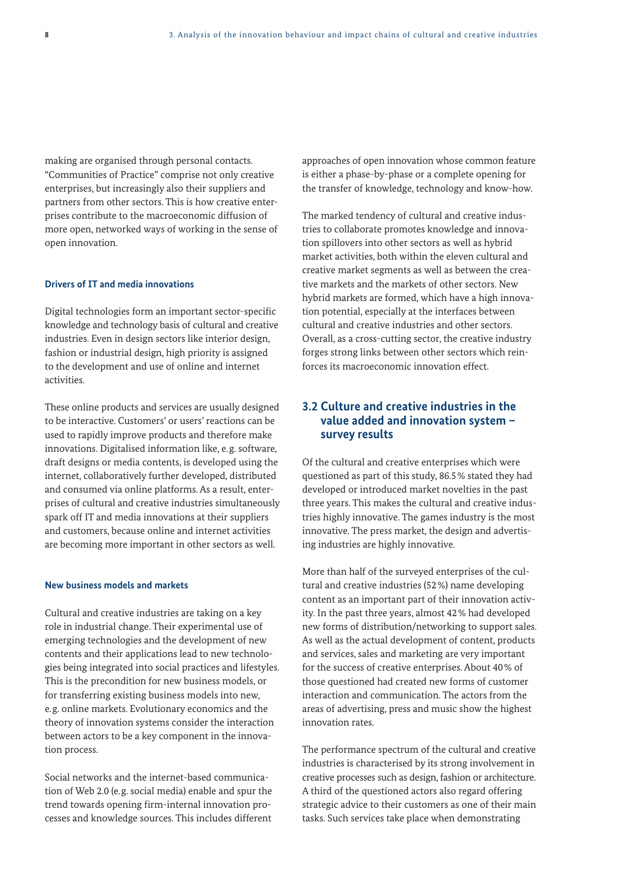making are organised through personal contacts. "Communities of Practice" comprise not only creative enterprises, but increasingly also their suppliers and partners from other sectors. This is how creative enterprises contribute to the macroeconomic diffusion of more open, networked ways of working in the sense of open innovation.

#### **Drivers of IT and media innovations**

Digital technologies form an important sector-specific knowledge and technology basis of cultural and creative industries. Even in design sectors like interior design, fashion or industrial design, high priority is assigned to the development and use of online and internet activities.

These online products and services are usually designed to be interactive. Customers' or users' reactions can be used to rapidly improve products and therefore make innovations. Digitalised information like, e.g. software, draft designs or media contents, is developed using the internet, collaboratively further developed, distributed and consumed via online platforms. As a result, enterprises of cultural and creative industries simultaneously spark off IT and media innovations at their suppliers and customers, because online and internet activities are becoming more important in other sectors as well.

#### **New business models and markets**

Cultural and creative industries are taking on a key role in industrial change. Their experimental use of emerging technologies and the development of new contents and their applications lead to new technologies being integrated into social practices and lifestyles. This is the precondition for new business models, or for transferring existing business models into new, e.g. online markets. Evolutionary economics and the theory of innovation systems consider the interaction between actors to be a key component in the innovation process.

Social networks and the internet-based communication of Web 2.0 (e.g. social media) enable and spur the trend towards opening firm-internal innovation processes and knowledge sources. This includes different approaches of open innovation whose common feature is either a phase-by-phase or a complete opening for the transfer of knowledge, technology and know-how.

The marked tendency of cultural and creative industries to collaborate promotes knowledge and innovation spillovers into other sectors as well as hybrid market activities, both within the eleven cultural and creative market segments as well as between the creative markets and the markets of other sectors. New hybrid markets are formed, which have a high innovation potential, especially at the interfaces between cultural and creative industries and other sectors. Overall, as a cross-cutting sector, the creative industry forges strong links between other sectors which reinforces its macroeconomic innovation effect.

#### **3.2 Culture and creative industries in the value added and innovation system – survey results**

Of the cultural and creative enterprises which were questioned as part of this study, 86.5% stated they had developed or introduced market novelties in the past three years. This makes the cultural and creative industries highly innovative. The games industry is the most innovative. The press market, the design and advertising industries are highly innovative.

More than half of the surveyed enterprises of the cultural and creative industries (52%) name developing content as an important part of their innovation activity. In the past three years, almost 42% had developed new forms of distribution/networking to support sales. As well as the actual development of content, products and services, sales and marketing are very important for the success of creative enterprises. About 40% of those questioned had created new forms of customer interaction and communication. The actors from the areas of advertising, press and music show the highest innovation rates.

The performance spectrum of the cultural and creative industries is characterised by its strong involvement in creative processes such as design, fashion or architecture. A third of the questioned actors also regard offering strategic advice to their customers as one of their main tasks. Such services take place when demonstrating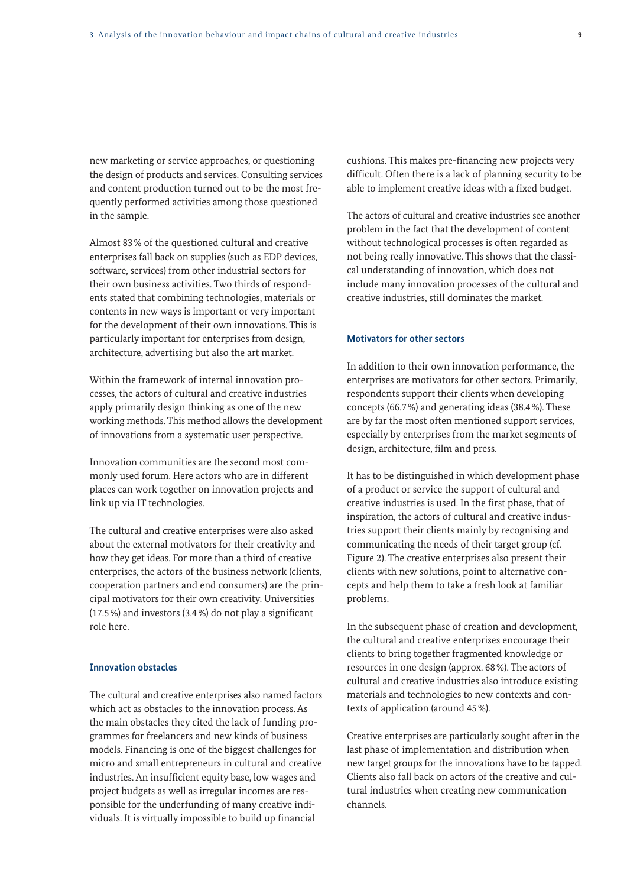new marketing or service approaches, or questioning the design of products and services. Consulting services and content production turned out to be the most frequently performed activities among those questioned in the sample.

Almost 83% of the questioned cultural and creative enterprises fall back on supplies (such as EDP devices, software, services) from other industrial sectors for their own business activities. Two thirds of respondents stated that combining technologies, materials or contents in new ways is important or very important for the development of their own innovations. This is particularly important for enterprises from design, architecture, advertising but also the art market.

Within the framework of internal innovation processes, the actors of cultural and creative industries apply primarily design thinking as one of the new working methods. This method allows the development of innovations from a systematic user perspective.

Innovation communities are the second most commonly used forum. Here actors who are in different places can work together on innovation projects and link up via IT technologies.

The cultural and creative enterprises were also asked about the external motivators for their creativity and how they get ideas. For more than a third of creative enterprises, the actors of the business network (clients, cooperation partners and end consumers) are the principal motivators for their own creativity. Universities (17.5%) and investors (3.4%) do not play a significant role here.

#### **Innovation obstacles**

The cultural and creative enterprises also named factors which act as obstacles to the innovation process. As the main obstacles they cited the lack of funding programmes for freelancers and new kinds of business models. Financing is one of the biggest challenges for micro and small entrepreneurs in cultural and creative industries. An insufficient equity base, low wages and project budgets as well as irregular incomes are responsible for the underfunding of many creative individuals. It is virtually impossible to build up financial

cushions. This makes pre-financing new projects very difficult. Often there is a lack of planning security to be able to implement creative ideas with a fixed budget.

The actors of cultural and creative industries see another problem in the fact that the development of content without technological processes is often regarded as not being really innovative. This shows that the classical understanding of innovation, which does not include many innovation processes of the cultural and creative industries, still dominates the market.

#### **Motivators for other sectors**

In addition to their own innovation performance, the enterprises are motivators for other sectors. Primarily, respondents support their clients when developing concepts (66.7%) and generating ideas (38.4%). These are by far the most often mentioned support services, especially by enterprises from the market segments of design, architecture, film and press.

It has to be distinguished in which development phase of a product or service the support of cultural and creative industries is used. In the first phase, that of inspiration, the actors of cultural and creative industries support their clients mainly by recognising and communicating the needs of their target group (cf. Figure 2). The creative enterprises also present their clients with new solutions, point to alternative concepts and help them to take a fresh look at familiar problems.

In the subsequent phase of creation and development, the cultural and creative enterprises encourage their clients to bring together fragmented knowledge or resources in one design (approx. 68%). The actors of cultural and creative industries also introduce existing materials and technologies to new contexts and contexts of application (around 45%).

Creative enterprises are particularly sought after in the last phase of implementation and distribution when new target groups for the innovations have to be tapped. Clients also fall back on actors of the creative and cultural industries when creating new communication channels.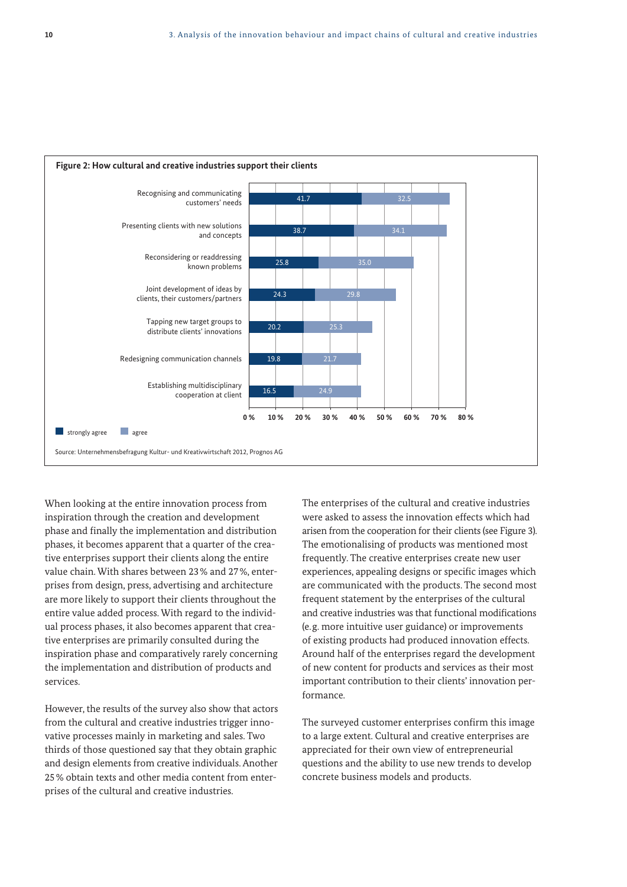

When looking at the entire innovation process from inspiration through the creation and development phase and finally the implementation and distribution phases, it becomes apparent that a quarter of the creative enterprises support their clients along the entire value chain. With shares between 23% and 27%, enterprises from design, press, advertising and architecture are more likely to support their clients throughout the entire value added process. With regard to the individual process phases, it also becomes apparent that creative enterprises are primarily consulted during the inspiration phase and comparatively rarely concerning the implementation and distribution of products and services.

However, the results of the survey also show that actors from the cultural and creative industries trigger innovative processes mainly in marketing and sales. Two thirds of those questioned say that they obtain graphic and design elements from creative individuals. Another 25% obtain texts and other media content from enterprises of the cultural and creative industries.

The enterprises of the cultural and creative industries were asked to assess the innovation effects which had arisen from the cooperation for their clients (see Figure 3). The emotionalising of products was mentioned most frequently. The creative enterprises create new user experiences, appealing designs or specific images which are communicated with the products. The second most frequent statement by the enterprises of the cultural and creative industries was that functional modifications (e.g. more intuitive user guidance) or improvements of existing products had produced innovation effects. Around half of the enterprises regard the development of new content for products and services as their most important contribution to their clients' innovation per formance.

The surveyed customer enterprises confirm this image to a large extent. Cultural and creative enterprises are appreciated for their own view of entrepreneurial questions and the ability to use new trends to develop concrete business models and products.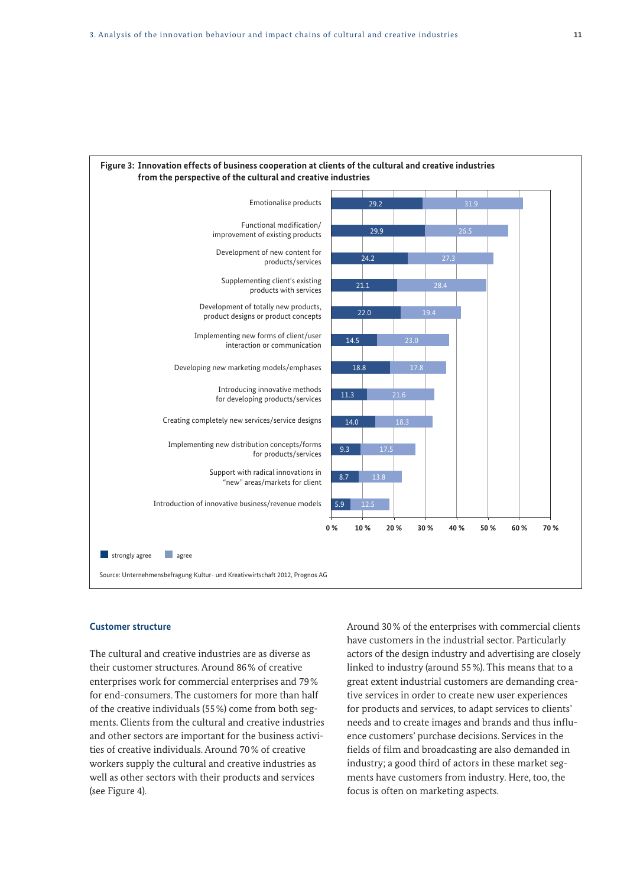

## **Figure 3: Innovation effects of business cooperation at clients of the cultural and creative industries**

#### **Customer structure**

The cultural and creative industries are as diverse as their customer structures. Around 86% of creative enterprises work for commercial enterprises and 79% for end-consumers. The customers for more than half of the creative individuals (55%) come from both segments. Clients from the cultural and creative industries and other sectors are important for the business activities of creative individuals. Around 70% of creative workers supply the cultural and creative industries as well as other sectors with their products and services (see Figure 4).

Around 30% of the enterprises with commercial clients have customers in the industrial sector. Particularly actors of the design industry and advertising are closely linked to industry (around 55%). This means that to a great extent industrial customers are demanding creative services in order to create new user experiences for products and services, to adapt services to clients' needs and to create images and brands and thus influence customers' purchase decisions. Services in the fields of film and broadcasting are also demanded in industry; a good third of actors in these market segments have customers from industry. Here, too, the focus is often on marketing aspects.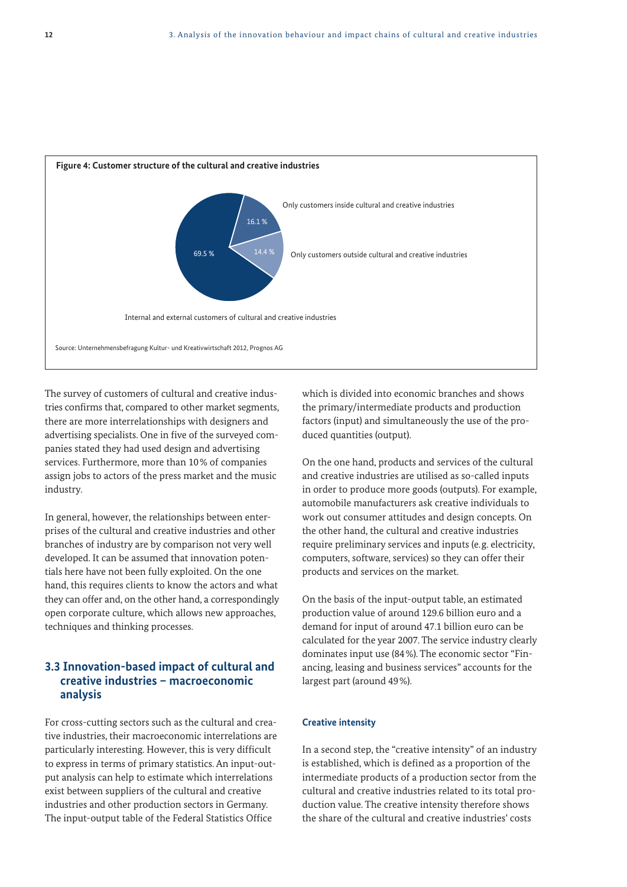

The survey of customers of cultural and creative industries confirms that, compared to other market segments, there are more interrelationships with designers and advertising specialists. One in five of the surveyed companies stated they had used design and advertising services. Furthermore, more than 10% of companies assign jobs to actors of the press market and the music industry.

In general, however, the relationships between enterprises of the cultural and creative industries and other branches of industry are by comparison not very well developed. It can be assumed that innovation potentials here have not been fully exploited. On the one hand, this requires clients to know the actors and what they can offer and, on the other hand, a correspondingly open corporate culture, which allows new approaches, techniques and thinking processes.

#### **3.3 Innovation-based impact of cultural and creative industries – macroeconomic analysis**

For cross-cutting sectors such as the cultural and creative industries, their macroeconomic interrelations are particularly interesting. However, this is very difficult to express in terms of primary statistics. An input-output analysis can help to estimate which interrelations exist between suppliers of the cultural and creative industries and other production sectors in Germany. The input-output table of the Federal Statistics Office

which is divided into economic branches and shows the primary/intermediate products and production factors (input) and simultaneously the use of the produced quantities (output).

On the one hand, products and services of the cultural and creative industries are utilised as so-called inputs in order to produce more goods (outputs). For example, automobile manufacturers ask creative individuals to work out consumer attitudes and design concepts. On the other hand, the cultural and creative industries require preliminary services and inputs (e.g. electricity, computers, software, services) so they can offer their products and services on the market.

On the basis of the input-output table, an estimated production value of around 129.6 billion euro and a demand for input of around 47.1 billion euro can be calculated for the year 2007. The service industry clearly dominates input use (84%). The economic sector "Financing, leasing and business services" accounts for the largest part (around 49%).

#### **Creative intensity**

In a second step, the "creative intensity" of an industry is established, which is defined as a proportion of the intermediate products of a production sector from the cultural and creative industries related to its total production value. The creative intensity therefore shows the share of the cultural and creative industries' costs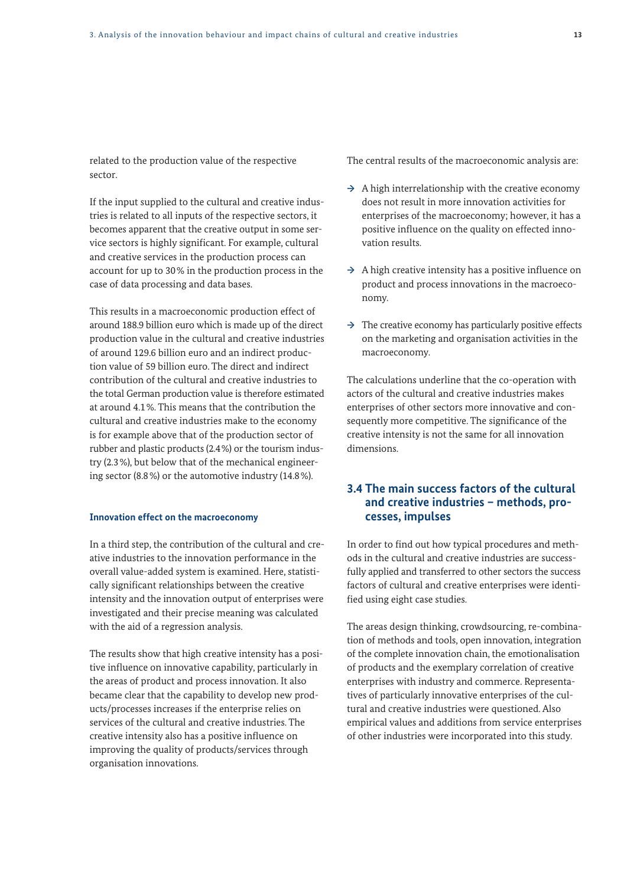related to the production value of the respective sector.

If the input supplied to the cultural and creative industries is related to all inputs of the respective sectors, it becomes apparent that the creative output in some service sectors is highly significant. For example, cultural and creative services in the production process can account for up to 30% in the production process in the case of data processing and data bases.

This results in a macroeconomic production effect of around 188.9 billion euro which is made up of the direct production value in the cultural and creative industries of around 129.6 billion euro and an indirect production value of 59 billion euro. The direct and indirect contribution of the cultural and creative industries to the total German production value is therefore estimated at around 4.1%. This means that the contribution the cultural and creative industries make to the economy is for example above that of the production sector of rubber and plastic products (2.4%) or the tourism industry (2.3%), but below that of the mechanical engineering sector (8.8%) or the automotive industry (14.8%).

#### **Innovation effect on the macroeconomy**

In a third step, the contribution of the cultural and creative industries to the innovation performance in the overall value-added system is examined. Here, statistically significant relationships between the creative intensity and the innovation output of enterprises were investigated and their precise meaning was calculated with the aid of a regression analysis.

The results show that high creative intensity has a positive influence on innovative capability, particularly in the areas of product and process innovation. It also became clear that the capability to develop new products/processes increases if the enterprise relies on services of the cultural and creative industries. The creative intensity also has a positive influence on improving the quality of products/services through organisation innovations.

The central results of the macroeconomic analysis are:

- **→** A high interrelationship with the creative economy does not result in more innovation activities for enterprises of the macroeconomy; however, it has a positive influence on the quality on effected innovation results.
- **→** A high creative intensity has a positive influence on product and process innovations in the macroeconomy.
- **→** The creative economy has particularly positive effects on the marketing and organisation activities in the macroeconomy.

The calculations underline that the co-operation with actors of the cultural and creative industries makes enterprises of other sectors more innovative and consequently more competitive. The significance of the creative intensity is not the same for all innovation dimensions.

#### **3.4 The main success factors of the cultural and creative industries – methods, processes, impulses**

In order to find out how typical procedures and methods in the cultural and creative industries are successfully applied and transferred to other sectors the success factors of cultural and creative enterprises were identified using eight case studies.

The areas design thinking, crowdsourcing, re-combination of methods and tools, open innovation, integration of the complete innovation chain, the emotionalisation of products and the exemplary correlation of creative enterprises with industry and commerce. Representatives of particularly innovative enterprises of the cultural and creative industries were questioned. Also empirical values and additions from service enterprises of other industries were incorporated into this study.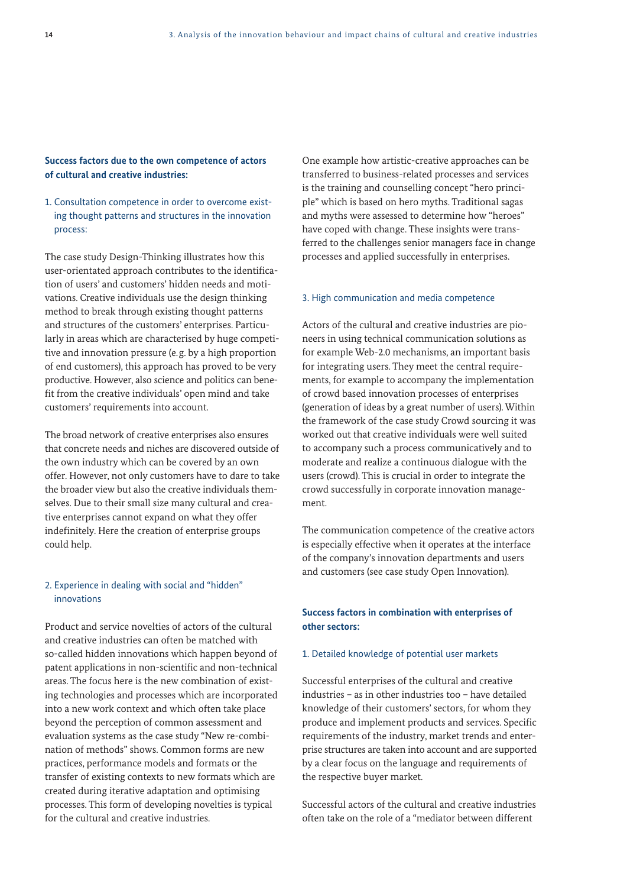#### **Success factors due to the own competence of actors of cultural and creative industries:**

#### 1. Consultation competence in order to overcome existing thought patterns and structures in the innovation process:

The case study Design-Thinking illustrates how this user-orientated approach contributes to the identification of users' and customers' hidden needs and motivations. Creative individuals use the design thinking method to break through existing thought patterns and structures of the customers' enterprises. Particularly in areas which are characterised by huge competitive and innovation pressure (e.g. by a high proportion of end customers), this approach has proved to be very productive. However, also science and politics can benefit from the creative individuals' open mind and take customers' requirements into account.

The broad network of creative enterprises also ensures that concrete needs and niches are discovered outside of the own industry which can be covered by an own offer. However, not only customers have to dare to take the broader view but also the creative individuals themselves. Due to their small size many cultural and creative enterprises cannot expand on what they offer indefinitely. Here the creation of enterprise groups could help.

#### 2. Experience in dealing with social and "hidden" innovations

Product and service novelties of actors of the cultural and creative industries can often be matched with so-called hidden innovations which happen beyond of patent applications in non-scientific and non-technical areas. The focus here is the new combination of existing technologies and processes which are incorporated into a new work context and which often take place beyond the perception of common assessment and evaluation systems as the case study "New re-combination of methods" shows. Common forms are new practices, performance models and formats or the transfer of existing contexts to new formats which are created during iterative adaptation and optimising processes. This form of developing novelties is typical for the cultural and creative industries.

One example how artistic-creative approaches can be transferred to business-related processes and services is the training and counselling concept "hero principle" which is based on hero myths. Traditional sagas and myths were assessed to determine how "heroes" have coped with change. These insights were transferred to the challenges senior managers face in change processes and applied successfully in enterprises.

#### 3. High communication and media competence

Actors of the cultural and creative industries are pioneers in using technical communication solutions as for example Web-2.0 mechanisms, an important basis for integrating users. They meet the central requirements, for example to accompany the implementation of crowd based innovation processes of enterprises (generation of ideas by a great number of users). Within the framework of the case study Crowd sourcing it was worked out that creative individuals were well suited to accompany such a process communicatively and to moderate and realize a continuous dialogue with the users (crowd). This is crucial in order to integrate the crowd successfully in corporate innovation management.

The communication competence of the creative actors is especially effective when it operates at the interface of the company's innovation departments and users and customers (see case study Open Innovation).

#### **Success factors in combination with enterprises of other sectors:**

#### 1. Detailed knowledge of potential user markets

Successful enterprises of the cultural and creative industries – as in other industries too – have detailed knowledge of their customers' sectors, for whom they produce and implement products and services. Specific requirements of the industry, market trends and enterprise structures are taken into account and are supported by a clear focus on the language and requirements of the respective buyer market.

Successful actors of the cultural and creative industries often take on the role of a "mediator between different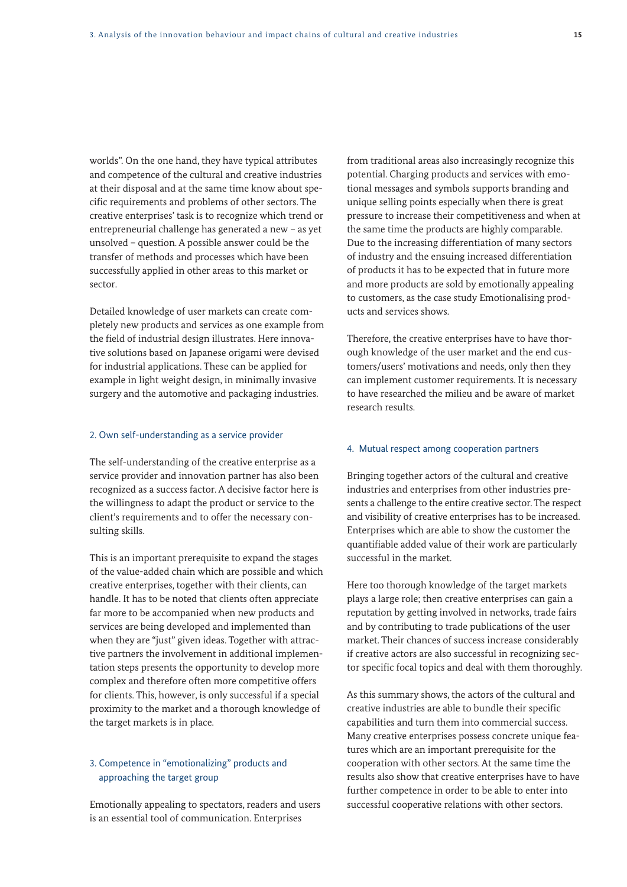worlds". On the one hand, they have typical attributes and competence of the cultural and creative industries at their disposal and at the same time know about specific requirements and problems of other sectors. The creative enterprises' task is to recognize which trend or entrepreneurial challenge has generated a new – as yet unsolved – question. A possible answer could be the transfer of methods and processes which have been successfully applied in other areas to this market or sector.

Detailed knowledge of user markets can create completely new products and services as one example from the field of industrial design illustrates. Here innovative solutions based on Japanese origami were devised for industrial applications. These can be applied for example in light weight design, in minimally invasive surgery and the automotive and packaging industries.

#### 2. Own self-understanding as a service provider

The self-understanding of the creative enterprise as a service provider and innovation partner has also been recognized as a success factor. A decisive factor here is the willingness to adapt the product or service to the client's requirements and to offer the necessary consulting skills.

This is an important prerequisite to expand the stages of the value-added chain which are possible and which creative enterprises, together with their clients, can handle. It has to be noted that clients often appreciate far more to be accompanied when new products and services are being developed and implemented than when they are "just" given ideas. Together with attractive partners the involvement in additional implementation steps presents the opportunity to develop more complex and therefore often more competitive offers for clients. This, however, is only successful if a special proximity to the market and a thorough knowledge of the target markets is in place.

#### 3. Competence in "emotionalizing" products and approaching the target group

Emotionally appealing to spectators, readers and users is an essential tool of communication. Enterprises

from traditional areas also increasingly recognize this potential. Charging products and services with emotional messages and symbols supports branding and unique selling points especially when there is great pressure to increase their competitiveness and when at the same time the products are highly comparable. Due to the increasing differentiation of many sectors of industry and the ensuing increased differentiation of products it has to be expected that in future more and more products are sold by emotionally appealing to customers, as the case study Emotionalising products and services shows.

Therefore, the creative enterprises have to have thorough knowledge of the user market and the end customers/users' motivations and needs, only then they can implement customer requirements. It is necessary to have researched the milieu and be aware of market research results.

#### 4. Mutual respect among cooperation partners

Bringing together actors of the cultural and creative industries and enterprises from other industries presents a challenge to the entire creative sector. The respect and visibility of creative enterprises has to be increased. Enterprises which are able to show the customer the quantifiable added value of their work are particularly successful in the market.

Here too thorough knowledge of the target markets plays a large role; then creative enterprises can gain a reputation by getting involved in networks, trade fairs and by contributing to trade publications of the user market. Their chances of success increase considerably if creative actors are also successful in recognizing sector specific focal topics and deal with them thoroughly.

As this summary shows, the actors of the cultural and creative industries are able to bundle their specific capabilities and turn them into commercial success. Many creative enterprises possess concrete unique features which are an important prerequisite for the cooperation with other sectors. At the same time the results also show that creative enterprises have to have further competence in order to be able to enter into successful cooperative relations with other sectors.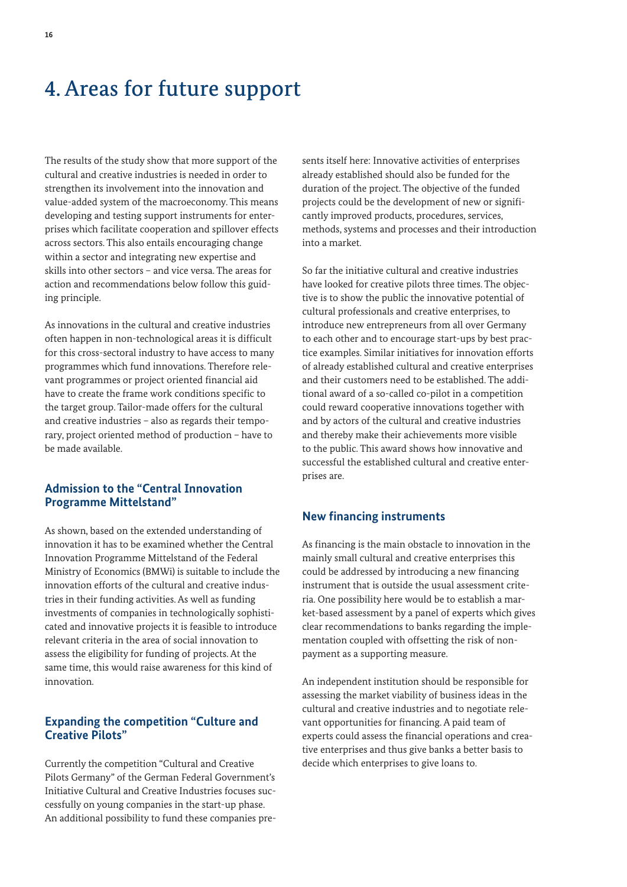### 4. Areas for future support

The results of the study show that more support of the cultural and creative industries is needed in order to strengthen its involvement into the innovation and value-added system of the macroeconomy. This means developing and testing support instruments for enterprises which facilitate cooperation and spillover effects across sectors. This also entails encouraging change within a sector and integrating new expertise and skills into other sectors – and vice versa. The areas for action and recommendations below follow this guiding principle.

As innovations in the cultural and creative industries often happen in non-technological areas it is difficult for this cross-sectoral industry to have access to many programmes which fund innovations. Therefore relevant programmes or project oriented financial aid have to create the frame work conditions specific to the target group. Tailor-made offers for the cultural and creative industries – also as regards their temporary, project oriented method of production – have to be made available.

#### **Admission to the "Central Innovation Programme Mittelstand"**

As shown, based on the extended understanding of innovation it has to be examined whether the Central Innovation Programme Mittelstand of the Federal Ministry of Economics (BMWi) is suitable to include the innovation efforts of the cultural and creative industries in their funding activities. As well as funding investments of companies in technologically sophisticated and innovative projects it is feasible to introduce relevant criteria in the area of social innovation to assess the eligibility for funding of projects. At the same time, this would raise awareness for this kind of innovation.

#### **Expanding the competition "Culture and Creative Pilots"**

Currently the competition "Cultural and Creative Pilots Germany" of the German Federal Government's Initiative Cultural and Creative Industries focuses successfully on young companies in the start-up phase. An additional possibility to fund these companies presents itself here: Innovative activities of enterprises already established should also be funded for the duration of the project. The objective of the funded projects could be the development of new or significantly improved products, procedures, services, methods, systems and processes and their introduction into a market.

So far the initiative cultural and creative industries have looked for creative pilots three times. The objective is to show the public the innovative potential of cultural professionals and creative enterprises, to introduce new entrepreneurs from all over Germany to each other and to encourage start-ups by best practice examples. Similar initiatives for innovation efforts of already established cultural and creative enterprises and their customers need to be established. The additional award of a so-called co-pilot in a competition could reward cooperative innovations together with and by actors of the cultural and creative industries and thereby make their achievements more visible to the public. This award shows how innovative and successful the established cultural and creative enterprises are.

#### **New financing instruments**

As financing is the main obstacle to innovation in the mainly small cultural and creative enterprises this could be addressed by introducing a new financing instrument that is outside the usual assessment criteria. One possibility here would be to establish a market-based assessment by a panel of experts which gives clear recommendations to banks regarding the implementation coupled with offsetting the risk of nonpayment as a supporting measure.

An independent institution should be responsible for assessing the market viability of business ideas in the cultural and creative industries and to negotiate relevant opportunities for financing. A paid team of experts could assess the financial operations and creative enterprises and thus give banks a better basis to decide which enterprises to give loans to.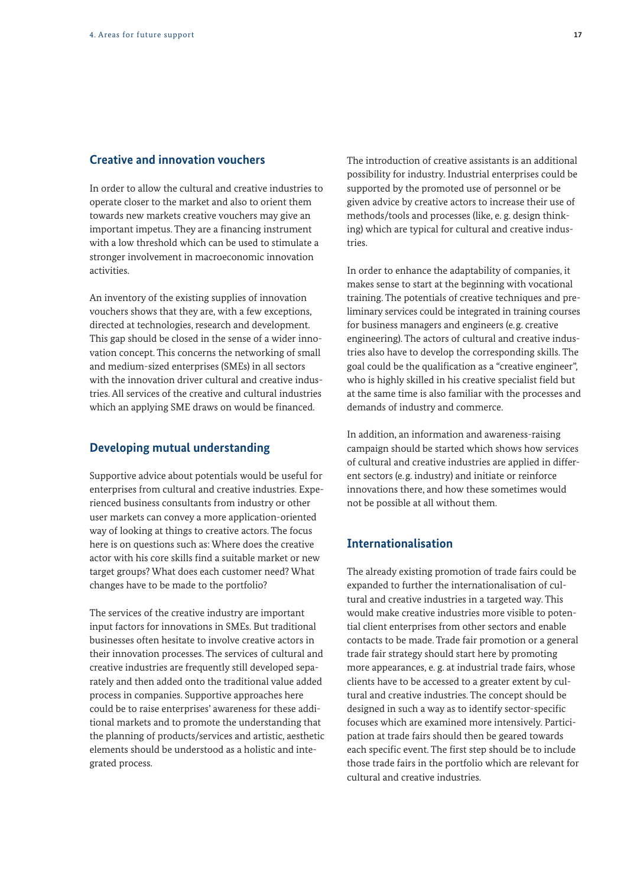#### **Creative and innovation vouchers**

In order to allow the cultural and creative industries to operate closer to the market and also to orient them towards new markets creative vouchers may give an important impetus. They are a financing instrument with a low threshold which can be used to stimulate a stronger involvement in macroeconomic innovation activities.

An inventory of the existing supplies of innovation vouchers shows that they are, with a few exceptions, directed at technologies, research and development. This gap should be closed in the sense of a wider innovation concept. This concerns the networking of small and medium-sized enterprises (SMEs) in all sectors with the innovation driver cultural and creative industries. All services of the creative and cultural industries which an applying SME draws on would be financed.

#### **Developing mutual understanding**

Supportive advice about potentials would be useful for enterprises from cultural and creative industries. Experienced business consultants from industry or other user markets can convey a more application-oriented way of looking at things to creative actors. The focus here is on questions such as: Where does the creative actor with his core skills find a suitable market or new target groups? What does each customer need? What changes have to be made to the portfolio?

The services of the creative industry are important input factors for innovations in SMEs. But traditional businesses often hesitate to involve creative actors in their innovation processes. The services of cultural and creative industries are frequently still developed separately and then added onto the traditional value added process in companies. Supportive approaches here could be to raise enterprises' awareness for these additional markets and to promote the understanding that the planning of products/services and artistic, aesthetic elements should be understood as a holistic and integrated process.

The introduction of creative assistants is an additional possibility for industry. Industrial enterprises could be supported by the promoted use of personnel or be given advice by creative actors to increase their use of methods/tools and processes (like, e. g. design thinking) which are typical for cultural and creative industries.

In order to enhance the adaptability of companies, it makes sense to start at the beginning with vocational training. The potentials of creative techniques and preliminary services could be integrated in training courses for business managers and engineers (e.g. creative engineering). The actors of cultural and creative industries also have to develop the corresponding skills. The goal could be the qualification as a "creative engineer", who is highly skilled in his creative specialist field but at the same time is also familiar with the processes and demands of industry and commerce.

In addition, an information and awareness-raising campaign should be started which shows how services of cultural and creative industries are applied in different sectors (e.g. industry) and initiate or reinforce innovations there, and how these sometimes would not be possible at all without them.

#### **Internationalisation**

The already existing promotion of trade fairs could be expanded to further the internationalisation of cultural and creative industries in a targeted way. This would make creative industries more visible to potential client enterprises from other sectors and enable contacts to be made. Trade fair promotion or a general trade fair strategy should start here by promoting more appearances, e. g. at industrial trade fairs, whose clients have to be accessed to a greater extent by cultural and creative industries. The concept should be designed in such a way as to identify sector-specific focuses which are examined more intensively. Participation at trade fairs should then be geared towards each specific event. The first step should be to include those trade fairs in the portfolio which are relevant for cultural and creative industries.